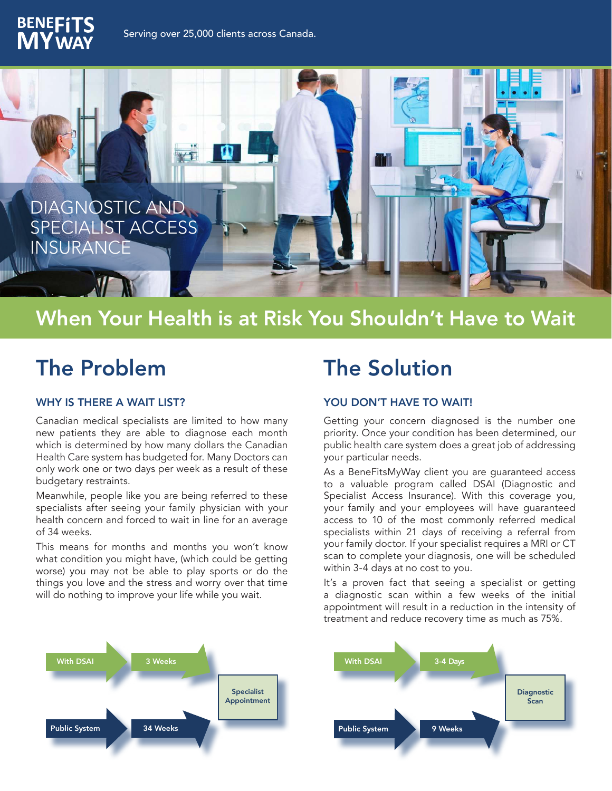



## When Your Health is at Risk You Shouldn't Have to Wait

## The Problem

#### WHY IS THERE A WAIT LIST?

Canadian medical specialists are limited to how many new patients they are able to diagnose each month which is determined by how many dollars the Canadian Health Care system has budgeted for. Many Doctors can only work one or two days per week as a result of these budgetary restraints.

Meanwhile, people like you are being referred to these specialists after seeing your family physician with your health concern and forced to wait in line for an average of 34 weeks.

This means for months and months you won't know what condition you might have, (which could be getting worse) you may not be able to play sports or do the things you love and the stress and worry over that time will do nothing to improve your life while you wait.

## The Solution

### YOU DON'T HAVE TO WAIT!

Getting your concern diagnosed is the number one priority. Once your condition has been determined, our public health care system does a great job of addressing your particular needs.

As a BeneFitsMyWay client you are guaranteed access to a valuable program called DSAI (Diagnostic and Specialist Access Insurance). With this coverage you, your family and your employees will have guaranteed access to 10 of the most commonly referred medical specialists within 21 days of receiving a referral from your family doctor. If your specialist requires a MRI or CT scan to complete your diagnosis, one will be scheduled within 3-4 days at no cost to you.

It's a proven fact that seeing a specialist or getting a diagnostic scan within a few weeks of the initial appointment will result in a reduction in the intensity of treatment and reduce recovery time as much as 75%.